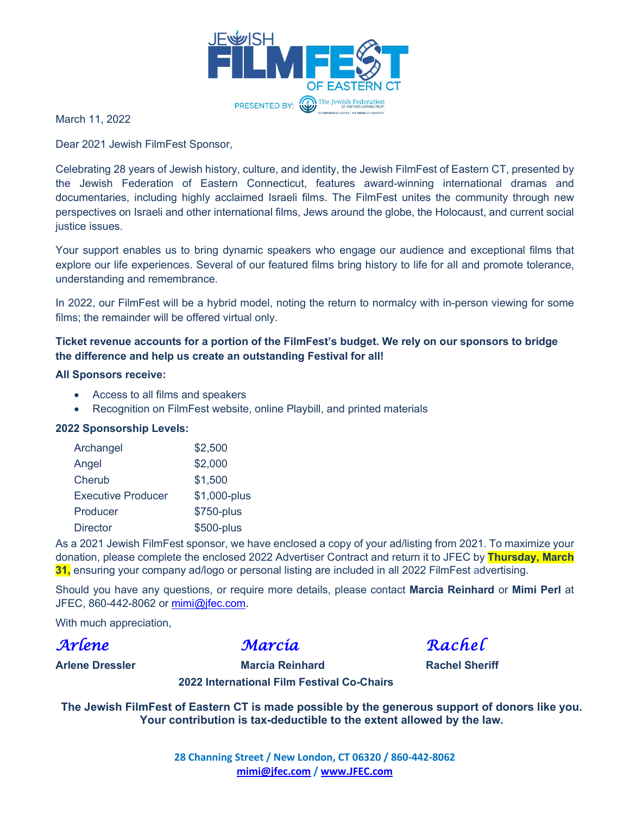

March 11, 2022

Dear 2021 Jewish FilmFest Sponsor,

Celebrating 28 years of Jewish history, culture, and identity, the Jewish FilmFest of Eastern CT, presented by the Jewish Federation of Eastern Connecticut, features award-winning international dramas and documentaries, including highly acclaimed Israeli films. The FilmFest unites the community through new perspectives on Israeli and other international films, Jews around the globe, the Holocaust, and current social justice issues.

Your support enables us to bring dynamic speakers who engage our audience and exceptional films that explore our life experiences. Several of our featured films bring history to life for all and promote tolerance, understanding and remembrance.

In 2022, our FilmFest will be a hybrid model, noting the return to normalcy with in-person viewing for some films; the remainder will be offered virtual only.

### **Ticket revenue accounts for a portion of the FilmFest's budget. We rely on our sponsors to bridge the difference and help us create an outstanding Festival for all!**

#### **All Sponsors receive:**

- Access to all films and speakers
- Recognition on FilmFest website, online Playbill, and printed materials

### **2022 Sponsorship Levels:**

| Archangel                 | \$2,500      |
|---------------------------|--------------|
| Angel                     | \$2,000      |
| Cherub                    | \$1,500      |
| <b>Executive Producer</b> | \$1,000-plus |
| Producer                  | \$750-plus   |
| <b>Director</b>           | \$500-plus   |

As a 2021 Jewish FilmFest sponsor, we have enclosed a copy of your ad/listing from 2021. To maximize your donation, please complete the enclosed 2022 Advertiser Contract and return it to JFEC by **Thursday, March 31,** ensuring your company ad/logo or personal listing are included in all 2022 FilmFest advertising.

Should you have any questions, or require more details, please contact **Marcia Reinhard** or **Mimi Perl** at JFEC, 860-442-8062 or [mimi@jfec.com.](mailto:mimi@jfec.com)

With much appreciation,

*Arlene Marcia Rachel* 

**Arlene Dressler Marcia Reinhard Rachel Sheriff 2022 International Film Festival Co-Chairs**

**The Jewish FilmFest of Eastern CT is made possible by the generous support of donors like you. Your contribution is tax-deductible to the extent allowed by the law.**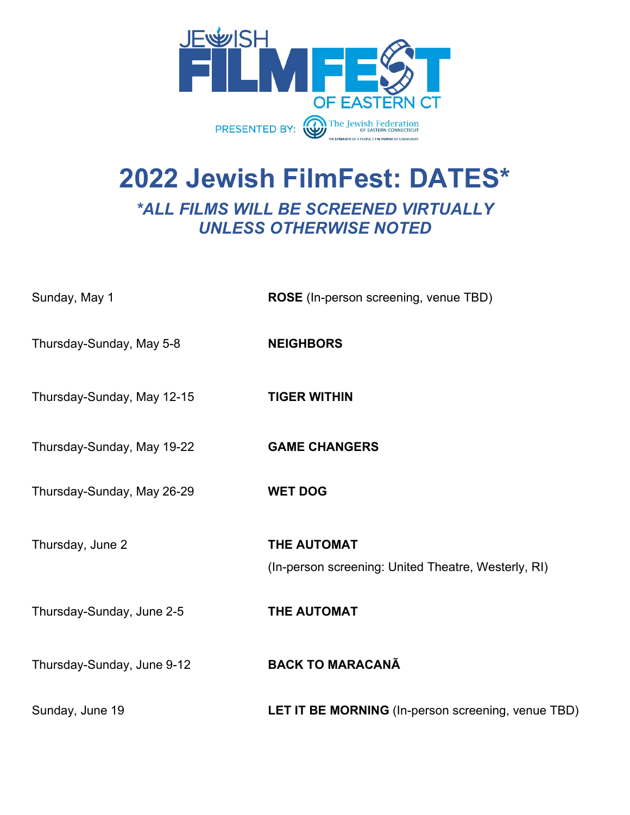

# **2022 Jewish FilmFest: DATES\*** *\*ALL FILMS WILL BE SCREENED VIRTUALLY UNLESS OTHERWISE NOTED*

| Sunday, May 1              | ROSE (In-person screening, venue TBD)                              |
|----------------------------|--------------------------------------------------------------------|
| Thursday-Sunday, May 5-8   | <b>NEIGHBORS</b>                                                   |
| Thursday-Sunday, May 12-15 | <b>TIGER WITHIN</b>                                                |
| Thursday-Sunday, May 19-22 | <b>GAME CHANGERS</b>                                               |
| Thursday-Sunday, May 26-29 | <b>WET DOG</b>                                                     |
| Thursday, June 2           | THE AUTOMAT<br>(In-person screening: United Theatre, Westerly, RI) |
| Thursday-Sunday, June 2-5  | <b>THE AUTOMAT</b>                                                 |
| Thursday-Sunday, June 9-12 | <b>BACK TO MARACANÃ</b>                                            |
| Sunday, June 19            | LET IT BE MORNING (In-person screening, venue TBD)                 |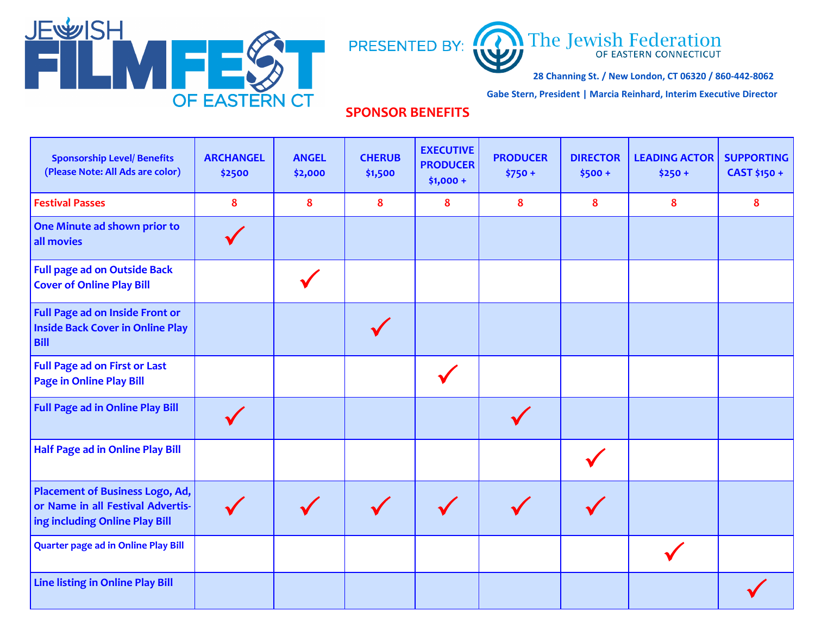



**28 Channing St. / New London, CT 06320 / 860-442-8062** 

**Gabe Stern, President | Marcia Reinhard, Interim Executive Director**

## **SPONSOR BENEFITS**

| <b>Sponsorship Level/ Benefits</b><br>(Please Note: All Ads are color)                                        | <b>ARCHANGEL</b><br>\$2500 | <b>ANGEL</b><br>\$2,000 | <b>CHERUB</b><br>\$1,500 | <b>EXECUTIVE</b><br><b>PRODUCER</b><br>$$1,000 +$ | <b>PRODUCER</b><br>$$750 +$ | <b>DIRECTOR</b><br>$$500 +$ | <b>LEADING ACTOR</b><br>$$250 +$ | <b>SUPPORTING</b><br>CAST \$150 + |
|---------------------------------------------------------------------------------------------------------------|----------------------------|-------------------------|--------------------------|---------------------------------------------------|-----------------------------|-----------------------------|----------------------------------|-----------------------------------|
| <b>Festival Passes</b>                                                                                        | 8                          | 8                       | 8                        | 8                                                 | 8                           | 8                           | 8                                | 8                                 |
| One Minute ad shown prior to<br>all movies                                                                    |                            |                         |                          |                                                   |                             |                             |                                  |                                   |
| <b>Full page ad on Outside Back</b><br><b>Cover of Online Play Bill</b>                                       |                            |                         |                          |                                                   |                             |                             |                                  |                                   |
| Full Page ad on Inside Front or<br><b>Inside Back Cover in Online Play</b><br><b>Bill</b>                     |                            |                         |                          |                                                   |                             |                             |                                  |                                   |
| <b>Full Page ad on First or Last</b><br><b>Page in Online Play Bill</b>                                       |                            |                         |                          |                                                   |                             |                             |                                  |                                   |
| <b>Full Page ad in Online Play Bill</b>                                                                       |                            |                         |                          |                                                   |                             |                             |                                  |                                   |
| Half Page ad in Online Play Bill                                                                              |                            |                         |                          |                                                   |                             |                             |                                  |                                   |
| <b>Placement of Business Logo, Ad,</b><br>or Name in all Festival Advertis-<br>ing including Online Play Bill |                            |                         |                          |                                                   |                             |                             |                                  |                                   |
| <b>Quarter page ad in Online Play Bill</b>                                                                    |                            |                         |                          |                                                   |                             |                             |                                  |                                   |
| Line listing in Online Play Bill                                                                              |                            |                         |                          |                                                   |                             |                             |                                  |                                   |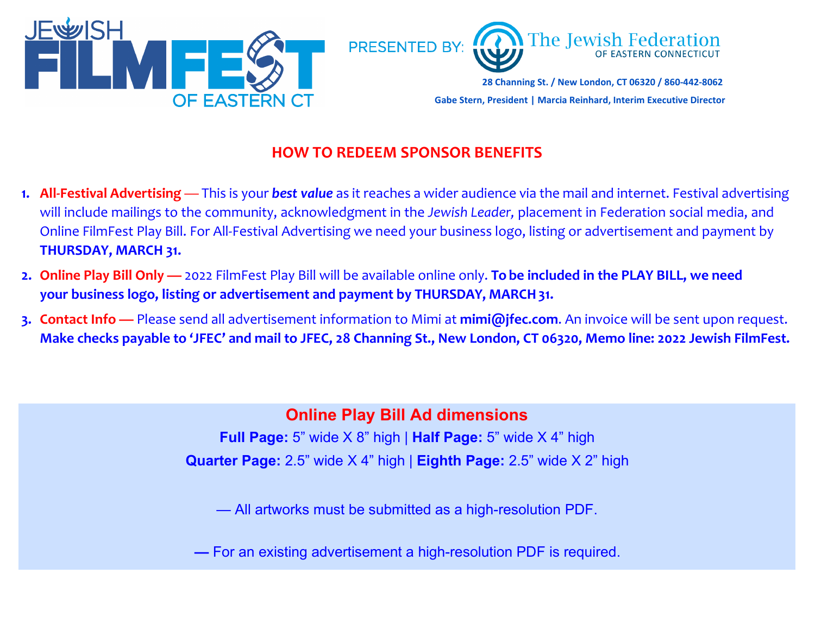

## **HOW TO REDEEM SPONSOR BENEFITS**

- **1. All-Festival Advertising** This is your *best value* as it reaches a wider audience via the mail and internet. Festival advertising will include mailings to the community, acknowledgment in the *Jewish Leader,* placement in Federation social media, and Online FilmFest Play Bill. For All-Festival Advertising we need your business logo, listing or advertisement and payment by **THURSDAY, MARCH 31.**
- **2. Online Play Bill Only —** 2022 FilmFest Play Bill will be available online only. **To be included in the PLAY BILL, we need your business logo, listing or advertisement and payment by THURSDAY, MARCH31.**
- **3. Contact Info —** Please send all advertisement information to Mimi at **[mimi@jfec.com](mailto:mimi@jfec.com)**. An invoice will be sent upon request. **Make checks payable to 'JFEC' and mail to JFEC, 28 Channing St., New London, CT 06320, Memo line: 2022 Jewish FilmFest.**

**Online Play Bill Ad dimensions**

**Full Page:** 5" wide X 8" high | **Half Page:** 5" wide X 4" high **Quarter Page:** 2.5" wide X 4" high | **Eighth Page:** 2.5" wide X 2" high

— All artworks must be submitted as a high-resolution PDF.

**—** For an existing advertisement a high-resolution PDF is required.